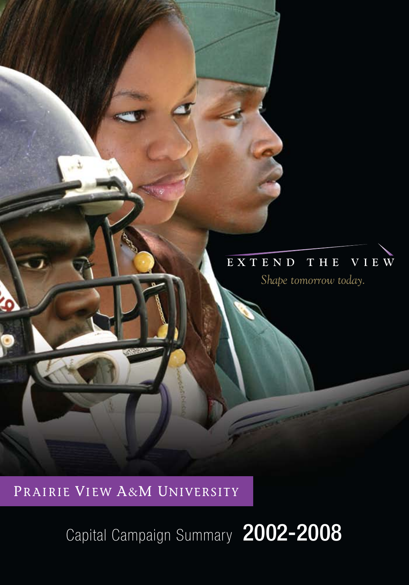## **E X T E N D T H E V I E W E X T E N D T H E V I E W**

*Shape tomorrow today. Shape tomorrow today.*

PRAIRIE VIEW A&M UNIVERSITY

PRAIRIE VIEW A&M UNIVERSITY

ô

Capital Campaign Summary 2002-2008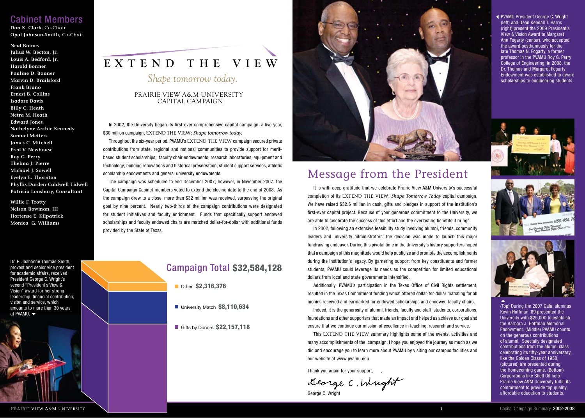## Cabinet Members

**Don K. Clark,** Co-Chair **Opal Johnson-Smith,** Co-Chair

#### **Neal Baines**

**Julius W. Becton, Jr. Louis A. Bedford, Jr. Harold Bonner Pauline D. Bonner Marvin D. Brailsford Frank Bruno Ernest B. Collins Isadore Davis Billy C. Heath Netra M. Heath Edward Jones Nathelyne Archie Kennedy Samuel Metters James C. Mitchell Fred V. Newhouse Roy G. Perry Thelma J. Pierre Michael J. Sowell Evelyn E. Thornton Phyllis Darden-Caldwell Tidwell Patricia Lonsbary, Consultant**

**Willie F. Trotty Nelson Bowman, III Hortense E. Kilpatrick Monica G. Williams**

Dr. E. Joahanne Thomas-Smith, provost and senior vice president for academic affairs, received President George C. Wright's second "President's View & Vision" award for her strong leadership, financial contribution, vision and service, which amounts to more than 30 years at PVAMU.



# **E X T E N D T H E V I E W**

# *Shape tomorrow today.*

### CAPITAL CAMPAIGN PRAIRIE VIEW A&M UNIVERSITY

In 2002, the University began its first-ever comprehensive capital campaign, a five-year, \$30 million campaign, EXTEND THE VIEW: Shape tomorrow today.

Throughout the six-year period, PVAMU's EXTEND THE VIEW campaign secured private contributions from state, regional and national communities to provide support for meritbased student scholarships; faculty chair endowments; research laboratories, equipment and technology; building renovations and historical preservation; student support services, athletic scholarship endowments and general university endowments.

The campaign was scheduled to end December 2007; however, in November 2007, the Capital Campaign Cabinet members voted to extend the closing date to the end of 2008. As the campaign drew to a close, more than \$32 million was received, surpassing the original goal by nine percent. Nearly two-thirds of the campaign contributions were designated for student initiatives and faculty enrichment. Funds that specifically support endowed scholarships and faculty endowed chairs are matched dollar-for-dollar with additional funds provided by the State of Texas.

## Campaign Total \$32,584,128

Other \$2,316,376

University Match \$8,110,634

Gifts by Donors **\$22,157,118** 



# Message from the President

It is with deep gratitude that we celebrate Prairie View A&M University's successful completion of its EXTEND THE VIEW: *Shape Tomorrow Today* capital campaign. We have raised \$32.6 million in cash, gifts and pledges in support of the institution's first-ever capital project. Because of your generous commitment to the University, we are able to celebrate the success of this effort and the everlasting benefits it brings.

In 2002, following an extensive feasibility study involving alumni, friends, community leaders and university administrators, the decision was made to launch this major fundraising endeavor. During this pivotal time in the University's history supporters hoped that a campaign of this magnitude would help publicize and promote the accomplishments during the institution's legacy. By garnering support from key constituents and former students, PVAMU could leverage its needs as the competition for limited educational dollars from local and state governments intensified.

Additionally, PVAMU's participation in the Texas Office of Civil Rights settlement, resulted in the Texas Commitment funding which offered dollar-for-dollar matching for all monies received and earmarked for endowed scholarships and endowed faculty chairs.

Indeed, it is the generosity of alumni, friends, faculty and staff, students, corporations, foundations and other supporters that made an impact and helped us achieve our goal and ensure that we continue our mission of excellence in teaching, research and service.

This EXTEND THE VIEW summary highlights some of the events, activities and many accomplishments of the campaign. I hope you enjoyed the journey as much as we did and encourage you to learn more about PVAMU by visiting our campus facilities and our website at www.pvamu.edu

**1**

Thank you again for your support,

George C. Wright

George C. Wright

PVAMU President George C. Wright (left) and Dean Kendall T. Harris (right) present the 2009 President's View & Vision Award to Margaret Ann Fogarty (center), who accepted the award posthumously for the late Thomas N. Fogarty, a former professor in the PVAMU Roy G. Perry College of Engineering. In 2008, the Dr. Thomas and Margaret Fogarty Endowment was established to award scholarships to engineering students.







(Top) During the 2007 Gala, alumnus Kevin Hoffman '89 presented the University with \$25,000 to establish the Barbara J. Hoffman Memorial Endowment. (Middle) PVAMU counts on the generous contributions of alumni. Specially designated contributions from the alumni class celebrating its fifty-year anniversary, like the Golden Class of 1958, (pictured) are presented during the Homecoming game. (Bottom) Corporations like Shell Oil help Prairie View A&M University fulfill its commitment to provide top quality, affordable education to students.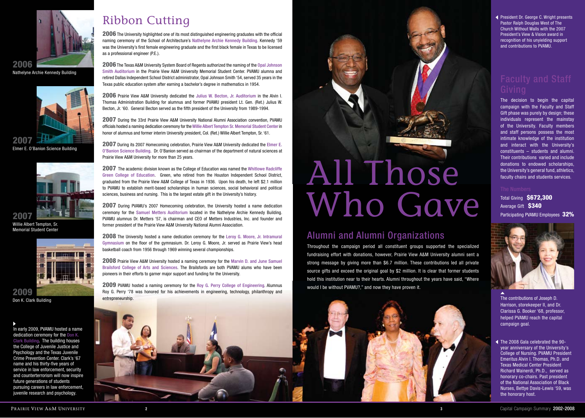

Nathelyne Archie Kennedy Building 2006



Elmer E. O'Banion Science Building



Willie Albert Tempton, Sr. Memorial Student Center



entrepreneurship. Don K. Clark Building 2009

In early 2009, PVAMU hosted a name dedication ceremony for the Don K. Clark Building. The building houses the College of Juvenile Justice and Psychology and the Texas Juvenile Crime Prevention Center. Clark's '67 name and his thirty-five years of service in law enforcement, security and counterterrorism will now inspire future generations of students pursuing careers in law enforcement, juvenile research and psychology.

# Ribbon Cutting

2006 The University highlighted one of its most distinguished engineering graduates with the official naming ceremony of the School of Architecture's Nathelyne Archie Kennedy Building. Kennedy '59 was the University's first female engineering graduate and the first black female in Texas to be licensed as a professional engineer (P.E.).

2006 The Texas A&M University System Board of Regents authorized the naming of the Opal Johnson Smith Auditorium in the Prairie View A&M University Memorial Student Center. PVAMU alumna and retired Dallas Independent School District administrator, Opal Johnson Smith '54, served 35 years in the Texas public education system after earning a bachelor's degree in mathematics in 1954.

2006 Prairie View A&M University dedicated the Julius W. Becton, Jr. Auditorium in the Alvin I. Thomas Administration Building for alumnus and former PVAMU president Lt. Gen. (Ret.) Julius W. Becton, Jr. '60. General Becton served as the fifth president of the University from 1989-1994.

2007 During the 33rd Prairie View A&M University National Alumni Association convention, PVAMU officials hosted a naming dedication ceremony for the Willie Albert Tempton Sr. Memorial Student Center in honor of alumnus and former interim University president, Col. (Ret.) Willie Albert Tempton, Sr. '61.

2007 During its 2007 Homecoming celebration, Prairie View A&M University dedicated the Elmer E. O'Banion Science Building. Dr. O'Banion served as chairman of the department of natural sciences at Prairie View A&M University for more than 25 years.

2007 The academic division known as the College of Education was named the Whitlowe Radcliffe Green College of Education. Green, who retired from the Houston Independent School District, graduated from the Prairie View A&M College of Texas in 1936. Upon his death, he left \$2.1 million to PVAMU to establish merit-based scholarships in human sciences, social behavioral and political sciences, business and nursing. This is the largest estate gift in the University's history.

2007 During PVAMU's 2007 Homecoming celebration, the University hosted a name dedication ceremony for the Samuel Metters Auditorium located in the Nathelyne Archie Kennedy Building. PVAMU alumnus Dr. Metters '57, is chairman and CEO of Metters Industries, Inc. and founder and former president of the Prairie View A&M University National Alumni Association.

2008 The University hosted a name dedication ceremony for the Leroy G. Moore, Jr. Intramural Gymnasium on the floor of the gymnasium. Dr. Leroy G. Moore, Jr. served as Prairie View's head basketball coach from 1956 through 1969 winning several championships.

2008 Prairie View A&M University hosted a naming ceremony for the Marvin D. and June Samuel Brailsford College of Arts and Sciences. The Brailsfords are both PVAMU alums who have been pioneers in their efforts to garner major support and funding for the University.

2009 PVAMU hosted a naming ceremony for the Roy G. Perry College of Engineering. Alumnus Roy G. Perry '78 was honored for his achievements in engineering, technology, philanthropy and



# Alumni and Alumni Organizations

Throughout the campaign period all constituent groups supported the specialized fundraising effort with donations, however, Prairie View A&M University alumni sent a strong message by giving more than \$6.7 million. These contributions led all private source gifts and exceed the original goal by \$2 million. It is clear that former students hold this institution near to their hearts. Alumni throughout the years have said, "Where would I be without PVAMU?," and now they have proven it.



**2 3**

President Dr. George C. Wright presents Pastor Ralph Douglas West of The Church Without Walls with the 2007 President's View & Vision award in recognition of his unyielding support and contributions to PVAMU.

The decision to begin the capital campaign with the Faculty and Staff Gift phase was purely by design; these individuals represent the mainstay of the University. Faculty members and staff persons possess the most intimate knowledge of the institution and interact with the University's constituents – students and alumni. Their contributions varied and include donations to endowed scholarships, the University's general fund, athletics, faculty chairs and students services.

**Total Giving \$672,300** Average Gift \$340 Participating PVAMU Employees 32%



The contributions of Joseph D. Harrison, storekeeper II, and Dr. Clarissa G. Booker '68, professor, helped PVAMU reach the capital campaign goal.

The 2008 Gala celebrated the 90 year anniversary of the University's College of Nursing. PVAMU President Emeritus Alvin I. Thomas, Ph.D. and Texas Medical Center President Richard Wainerdi, Ph.D., served as honorary co-chairs. Past president of the National Association of Black Nurses, Bettye Davis-Lewis '59, was the honorary host.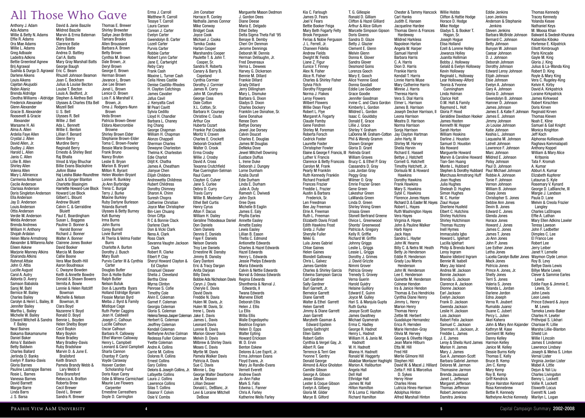|                                                |                                                     |                                                       | Erma J. Carroll                                | Jim Conatser                                         | Marquerite Mason Dedmon                                    | Kia C. Farlough                                                    | T. G. Gillespie                                   | <b>Chester &amp; Tammy Hancock</b>                               | <b>Willie Hobbs</b>                                  | <b>Eddie Jenkins</b>                            | Thomas Kennedv                                                 |
|------------------------------------------------|-----------------------------------------------------|-------------------------------------------------------|------------------------------------------------|------------------------------------------------------|------------------------------------------------------------|--------------------------------------------------------------------|---------------------------------------------------|------------------------------------------------------------------|------------------------------------------------------|-------------------------------------------------|----------------------------------------------------------------|
|                                                | <b>All Those Who Gave</b>                           |                                                       | Matthew R. Carroll                             | Horrace R. Conley                                    | J. Gordon Dees                                             | James D. Fears                                                     | Ronald D. Gilliam                                 | Carl Hanks                                                       | Clifton & Hattie Hodge                               | Leon Jenkins                                    | Tracey Kennedy                                                 |
| Anthony J. Adam                                | David & Janie Baszile                               | Thomas E. Brewer                                      | Tessye T. Carroll<br>Laura Carson              | Nathalla James Connor<br><b>Mike Conway</b>          | Diane Deese<br>Maria E. Delgado                            | Joel V. Fears<br><b>Bettie Booker Feiga</b>                        | Clifton & Hazel Gilliard<br>Arthur & Alice Gillum | Judith E. Hansen<br>Jacqueline Hardee                            | Horace D. Hodge<br>Mike Hodge                        | Anderson & Stephanie<br>Jenkins                 | Yolanda Kesee<br><b>Nathaniel Keys</b>                         |
| Ada Adams                                      | <b>Mildred Baszile</b>                              | <b>Shirley Brewster</b>                               | Corean J. Carter                               | <b>Bridget Cook</b>                                  | <b>Ethel Delley</b>                                        | Mary Beth Fogarty Felty                                            | <b>Marcelle Simpson Gipson</b>                    | Thomas Glenn & Frances                                           | Gladys S. & Booker T.                                | Steven Jenkins                                  | M. Moosa Khan                                                  |
| Willie & Betty N. Adams                        | Marvin & Erma Bateman                               | Sallye Jean Britton                                   | <b>Evelyn Carter</b>                           | Joyce Cook                                           | Delta Sigma Theta Fall '95                                 | <b>Brook Ferguson</b>                                              | <b>Doris Givens</b>                               | Hardeway                                                         | Hogan, Sr.                                           | Barbara McBride Johnson                         | Balwant & Swdesh Khurana                                       |
| Effie R. Adams                                 | <b>Mary Bates</b>                                   | Tamara Brooks                                         | Gwendolyn B. Carter                            | Michael J. Cooks                                     | Benaye B. Demby                                            | Ferias & Nobie Ferguson                                            | Sandra D. Glaze                                   | <b>Mildred Harkless</b>                                          | Joseph Hoque                                         | Bernard C. Johnson                              | Kabamba Kiboko                                                 |
| Ora Mae Adams<br>Willie L. Adams               | <b>Clarence Batie</b><br>Zelma Batie                | Allen Broussard<br>Barbara A. Brown                   | <b>Lozell Carter</b><br><b>Purvis Carter</b>   | Tamika Cooks<br><b>Harlan Cooper</b>                 | Cheri Orr Denmon<br>Jerome Dennings                        | J. L. Ferrell, Jr.<br><b>Chaneen Fidelia</b>                       | Betty J. Glazier<br>Clement E. Glenn              | Napoleon Harlan<br>Angela W. Harper                              | Elisa Holland<br>Ezell & Lorene Holley               | <b>Betty Johnson</b><br>Bunyan W. Johnson       | Hortense E. Kilpatrick<br><b>Elliott Kimbrough</b>             |
| <b>Greg Adbaale</b>                            | Andrea D. Battley                                   | <b>Betty Brown</b>                                    | <b>Robbie Carter</b>                           | <b>Marshandra Cooper</b>                             | Deborah M. Dennis                                          | <b>Andrew Fields</b>                                               | <b>Melvin Glenn</b>                               | Samuel Harrell                                                   | Jowanza Holley                                       | Caesar Johnsor                                  | Paris Kincade                                                  |
| Ladeitra Adkins                                | Carl A. Batts                                       | Cynthia M. Brown                                      | <b>Robert Lynn Carter</b>                      | Paulette T. & John T.                                | Herman DeVaughn, Jr.                                       | Dwight W. Fields                                                   | Donna K. Glover                                   | <b>Barbara Harris</b>                                            | Juanita Holliman                                     | D. J. Johnson                                   | Gayle M. King                                                  |
| <b>Bettie Greenleaf Agnew</b>                  | Mary Gray Marshall Batts<br>George Baugh            | Dale Brown, Jr.<br>Deryl Brown                        | Jane E. Cartwright                             | Cooper, Sr.                                          | <b>Fred Devereaux</b>                                      | Liane Z. Figur                                                     | Sandra Glover                                     | C.A. Harris                                                      | Bobby J. Holloway                                    | Deborah Johnson                                 | Gloria J. King                                                 |
| Brij Agrawal<br>Sushila & Durga D. Agrawa      | Eric C. Beam                                        | George E. Brown                                       | Reby Cary<br>Frank Cash                        | Sandra R. Roberts<br>Canary & Barry B.               | Verna L. Dewees<br>Harvey G. Dickerson                     | Eunice T. Finney<br>Alex N. Fisher                                 | <b>Desmond Goins</b><br>Lorenza Gooch             | Dion D. Harris<br><b>Frankie Harris</b>                          | Gelald & Evelyn Holloway<br>Kevin Holloway           | Dorothy Johnson<br><b>Edward Leroy Johnson</b>  | Julius & La-Wanda King<br>Robert D. King                       |
| Darlene Aikens                                 | <b>Rhuzell Johnson Beamon</b>                       | Herman Brown                                          | Maxine L. Turner Cash                          | Copeland                                             | Bennie M. Dillard                                          | Alice R. Fisher                                                    | Mary E. Gooch                                     | Kendall T. Harris                                                | Reginald L. Holloway                                 | Elijah Johnson                                  | Royle & Mary King                                              |
| Louis Aikens                                   | Joan C. Beckham                                     | Javance L. Brown                                      | <b>Celia Hines Castile</b>                     | <b>Cynthia Cormier</b>                               | <b>Frankie Dillard</b>                                     | <b>Charles &amp; Shirley Fisher</b>                                | Alice Yvonne Good                                 | Linnie Harris Muse                                               | Lear Holloway-Alford                                 | Elsie Johnson                                   | Vera C. Rugeley-King                                           |
| Cajetan Akujuobi<br><b>Robin Alaniz</b>        | Julius & Louise Becton<br>Louise T. Becton          | Joe Lee Brown<br>Jonel L. Brown                       | Denise Castillo-Rhodes<br>H. Clayton Catchings | Dorothy J. Cormier<br>James R. Corry                 | <b>Grady Dillard</b><br><b>Jerry Dillingham</b>            | Sylvia Fitch                                                       | Donna Goodall<br>Eddie Lee Goodbeer               | Mary Catherine Harris<br>Minnie J. Harris                        | Teonia & Yvonne<br>Cunningham                        | Evelyn A. Johnson                               | Kelvin K. Kirby<br>David A. Kirkpatrick                        |
| Brenda Aldridge                                | Louis A. Bedford, Jr.                               | Lenice D. Brown                                       | James Cavalier                                 | John M. Coruthers                                    | Mary L. Dismuke                                            | Dorothy Fitzgerald<br>Norma J. Flakes                              | Grace Goodie                                      | <b>Theresa Harris</b>                                            | Linda Holman                                         | Gary A. Johnson<br>Gloria D. Johnson            | Loraine Kirkpatrick                                            |
| Cleotha Williams - Aldridge                    | Stephen & Alethea Bell                              | Lois F. & Marshall V.                                 | Jafus Cavil                                    | George Coss                                          | Barbara G. Dixon                                           | <b>Leroy Flowers</b>                                               | Jennifer Goodman                                  | Vera S. Dial Harris                                              | <b>Clarice Holt</b>                                  | Gwendolyn B. Johnson                            | James Kirkwood                                                 |
| <b>Frederick Alexander</b>                     | Ulysses & Charles Etta Bell                         | Brown, Jr.                                            | J. Kenyatta Cavil                              | Dale Cotton                                          | Gladys D. Dixon                                            | <b>Wilbert Flowers</b>                                             | Irvine C. and Clara Gordon                        | Elmer L. Harrison                                                | O.M. Holt & Family                                   | Hamner D. Johnson                               | <b>Robert Kirschten</b>                                        |
| Glenn Alexander<br>Gracie B. Alexander         | <b>Mozell Bell</b><br>U.S. Bell                     | Oma J. Rodgers-Nunn<br>Brown                          | <b>M Pearl Cavitt</b><br>Sylvia Cedillo        | X.L. Cotton, Sr.<br>Barbara H. Coursey               | <b>Charles Dockery</b><br>Franklin Lee Donahoe, Sr.        | Willie Dean Floyd<br>Robert L. Flye                                | Kimberly L. Gordon<br>Mildred L. Gordon           | James B. Harrison<br>Joseph Decker Harrison, II                  | Raymond L. Holt<br>Gloria P. Hood                    | James Johnson<br>James E. & Katie F. Johnson    | Doris Kirven<br><b>Reginald Kirven</b>                         |
| Roosevelt & Gracie                             | Ulysses R. Bell                                     | Veda Brown                                            | Lloyd H. Chandler                              | Christine C. Couto                                   | Gene Donahue                                               | Margaret A. Fogarty                                                | Isaac C. Gouldsby                                 | Leona Harrison                                                   | Geraldine Davidson Hooker                            | James E. Johnson                                | <b>Thomas Kleven</b>                                           |
| Alexander                                      | Willie J. Bell                                      | Patricia Brown-Dever                                  | Barbara L. Chaney                              | <b>Arthur Cox</b>                                    | Renee Dorn                                                 | <b>Claude Fomby</b>                                                | Donald E. Grace                                   | Meatra D. Harrison                                               | James Hooten                                         | Jimmy Johnson                                   | Noah E. Kline                                                  |
| Warsame H. Ali<br>Alma A. Allen                | Ada L. Bennett<br>Willie E. Benton                  | Eldora Abercrombie<br>Browne                          | Ing Chang                                      | Huberta Cozart<br>Frankie Pat Craddok                | <b>Bettye Dorsey</b>                                       | Gene Fondren                                                       | Lillie J. Grace<br>Shirley Y. Graham              | Norma Harrison                                                   | Kenneth W. Hopper                                    | Jo Louise Johnson                               | Samuel & Gail Knight                                           |
| Ardelia Faye Allen                             | Lillian F. Benard                                   | <b>Shirley Brown Elder</b>                            | George Chapman<br>William H. Chapman           | Moritz V. Craven                                     | Jewel Joe Dorsey<br><b>Calvin Doucet</b>                   | Shirley M. Foreman<br>Roberta Forsch                               | LaDonna M. Graham-Cotton                          | Sonja Harrison<br>Jay Clayton Hartman                            | Sarah Horton<br><b>William Hoskins</b>               | Katie Johnson<br>Keshia L. Johnson              | Monica Knighton<br>Jeff Koch                                   |
| Crystal J. Allen                               | Glenn Berry                                         | Stephanie Brown-Elder                                 | Alonzo Chappell                                | <b>Charles E. Crockett</b>                           | Charles E. Douglas                                         | <b>Cedrick Foster</b>                                              | Phil & Wendy Gramm                                | John Harty, III                                                  | Darline J. Houston                                   | Laguasha M. Johnson                             | Alphonso Kolliesuah                                            |
| David Allen, Jr.                               | <b>Murdine Berry</b>                                | Toma C. Brown-Fowler                                  | <b>Sherman Charles</b>                         | Deborah Crockett                                     | James M Douglas                                            | <b>Laurette Foster</b>                                             | Shawn Granger                                     | Shirley M. Harvey                                                | Samuel D. Houston                                    | Latrell Johnson                                 | Raghava Kommalapati                                            |
| Dudley J. Allen<br>Harold L. Allen             | <b>Reginald Berry</b><br>Ernesto & Shirley Best     | <b>Bessie Marie Browning</b><br>Frank Bruno           | Dewayne Charleston                             | Walter O. Crook                                      | DeNeka Dove                                                | <b>Christopher Fowler</b>                                          | Gloria D. Grant                                   | Sheila Harvin                                                    | Ida Howard                                           | Lawrence F. Johnson                             | Anthony Koppel                                                 |
| Janis C. Allen                                 | Raj Bhalla                                          | <b>Nancy Bruton</b>                                   | Thelma K. Charleston<br><b>Edie Charlot</b>    | Erma Crosby<br>Willie J. Crosby                      | Jewel Mitchell Downing<br>Eustace Duffus                   | Elaine & George F. Francis, III Relinda Grant<br>Luther V. Francis | <b>William Graves</b>                             | Richard E. Hassell<br>Bettye J. Hatchett                         | <b>Marquerite Howard</b><br>Marvin & Caroline Howard | Marc Johnson<br>Mildred E. Johnson              | William & Mary Alice<br>Kritsonis                              |
| Lillie B. Allen                                | Vinod & Vijay Bhuchar                               | Leslie B. Bryan                                       | Diljit K. Chatha                               | David A. Cross                                       | L. Irene Duke                                              | <b>Clarence &amp; Betty Francois</b>                               | Brucy C. & Ethel P. Gray                          | Cornell G. Hatchett                                              | Tian-Sen Huang                                       | Patsy Johnson                                   | Tata F. Kromah                                                 |
| <b>Shirley Allen</b>                           | <b>Billie Evans Blackshire</b>                      | Marion B. Bryant                                      | James A. Cheatham                              | <b>Texanna Crutchfield</b>                           | Deborah J. Dungey                                          | Carolyn M. Frank                                                   | Cassandra D. Gray                                 | Timothy Hatchett, Jr.                                            | Monte L. Hubbard                                     | Paul D. Johnsor                                 | A. Kumar                                                       |
| Volena Allen                                   | JoAnn Blake                                         | Milton R. Byrant                                      | Jianyue Chen                                   | Rae Cuerington-Selman                                | Lorne Dunham                                               | Pearly M Franklin                                                  | Lois Jordan Gray                                  | Dorisula W. & Howard                                             | Stephen & Dorothy Hubbard                            | Paul Michael Johnson                            | Abburi A. Kumar                                                |
| Mary L Allinience<br>Carmenia Anderson         | Haj Leisha Blake-Roundtree<br>Jack & Ginger Blanton | Helen Wooten-Bryant<br>Lonnie R. Bunkley              | <b>Elijah Childers</b><br>Andrewetta Childress | Raul Cuero<br>Clayton G. Culver                      | Azalia Durall<br><b>Edie Durham</b>                        | <b>Ruth Kennedy Franklin</b><br><b>Richard Frankoff</b>            | Peggy Gray<br>Wilmer O. Gray                      | Hawkins<br>Dorothy Hawkins                                       | Marchusa Armstrong Huff<br>Joan Hughes               | Robbie A. Johnson<br>Tonie F. Johnson           | Elizabeth Kupferer<br>Lataurus S. Kyle                         |
| <b>Cecile Anderson</b>                         | <b>Charlotte Blasingim</b>                          | Jo Ann Burbridge                                      | <b>Hubert Childress</b>                        | Jane S. Curlee                                       | Linda E. Durham                                            | <b>Frances Frazier</b>                                             | Emrie Frazier Green                               | <b>Frank Hawkins</b>                                             | Julia Hughes                                         | Vernon Johnson                                  | Rosemary V. Kynard                                             |
| Clarissa Anderson                              | Harriette Howard-Lee Block                          | Trena C. Burgar                                       | Dorothy Chimney                                | Debra D. Curry                                       | Julie A. Duty                                              | Freddie L. Frazier                                                 | Gene Green                                        | Mary S. Hawkins                                                  | Sheleah D. Hughes                                    | William B. Johnson                              | George D. LaBlanche, III                                       |
| Doris Singleton Anderson                       | <b>Howard Lee Block</b>                             | Terry J. Burke                                        | Sharon A. Chinn                                | <b>Travis Curry</b>                                  | Ramesh C. Dwivedi                                          | Austin & Barbara                                                   | Lakeshur Green                                    | Sybil C. Hawkins                                                 | <b>Simon Hughes</b>                                  | <b>Casey Jones</b>                              | Margie J. Landson                                              |
| Ella Anderson<br>Jay D. Anderson               | Gilbert L. Blount<br><b>Andrew Bluiett</b>          | <b>Maxine Burkley</b><br><b>Ruby Darlyne Burleson</b> | Suresh Chopra<br><b>Catherine Christian</b>    | Willie B. Modester-Curry<br><b>Ethel Bell Curtis</b> | John Dyck                                                  | Frederick, Sr.<br>Len Freedman                                     | LaWanda Green<br>Linda D. Green                   | Florence Jones Hayes<br>Richard D. & Easter M. Hayes Ziaul Hugue | W. C. Hunter                                         | Christopher S. Jones<br>Debbie Ann Jones        | Paula D. Lane<br>Melvin & Creola Frazier                       |
| Louis Anderson                                 | Calvin C. & Gerraldine                              | <b>Yolanda Burnett</b>                                | Joyce Mae Christopher                          | <b>Henry Cyrus</b>                                   | Oree Dyes<br>Michelle B Eaglin                             | Bee Jay Freemar                                                    | <b>Shirley Vining Green</b>                       | Robert L. Hayes                                                  | <b>Sherlene Husfeld</b>                              | Devin B. Jones                                  | Langley                                                        |
| <b>Ottis Anderson</b>                          | Bluiett                                             | Ulysses & Betty Burney                                | Bin-Lien Chuang                                | Alton F. Dacus                                       | James E. Ealy                                              | Elrie A. Freeman                                                   | Urissia Green                                     | <b>Ruth Washington Hayes</b>                                     | Elbert C. Hutchins                                   | Edward C. Jones                                 | <b>Charles LaStrapes</b>                                       |
| Verdie M. Anderson                             | Paul E. Boardingham                                 | Kofi Burney                                           | Orion Ciftia                                   | William H. Dailey                                    | <b>Phyllis Earles</b>                                      | Ruth L. Freeman                                                    | <b>Stonell Bertrand Greene</b>                    | Vera Hayes                                                       | <b>Shirley Hutchins</b>                              | Glenda Jones                                    | Effie A. Lathan                                                |
| Welda Anderson<br><b>Brenda Andrews</b>        | Susan L. Boggess<br>Pauline D. Bonner &             | Irma Burns<br>John Burns                              | R C & Bonnie Clack                             | Geraline Thibodeaux Daniel                           | <b>Annette Easley</b>                                      | <b>Elizabeth Davis Frizell</b><br><b>Edith Hawkins Frost</b>       | Olvice L. Greenwood<br>Shonta' Greenwood          | Virginia A. Hayes                                                | <b>Shirley Hutchinson</b>                            | Horace Jones                                    | Mary Ellen Adkins Lawler                                       |
| William H. Anthony                             | <b>Harold Bonner</b>                                | <b>Corey Burrell</b>                                  | Darlene Clark<br>Don & Vicki Clark             | <b>Don Daniels</b><br><b>Clem Daniels</b>            | <b>Arnette Easley</b><br>Lewis Easley                      | Greta J. Fuller                                                    | Patricia A. Gregory                               | John & Pauline Walker<br>Harb Hayre                              | <b>Thomas Huzzey</b><br>Inell Hymes                  | Howard J. Jones<br>James C. Jones               | Teresa Lawson<br>John F. Ledbetter                             |
| Shojah Ardalan                                 | Richard J. Bonner                                   | Lovie Burrell                                         | Nena A. Clark                                  | Dennis E. Daniels                                    | Lillian B. Eason                                           | Sherylle Fuller                                                    | Kelly R. Griffie                                  | Jack Hays                                                        | Immaculata Iqbo                                      | James T. Jones                                  | Dimples C. Lee                                                 |
| <b>Helen Marie Armstrong</b>                   | Walter A. Bonner                                    | Al Theria & Velma Foster                              | <b>Ross Clark</b>                              | Faye F. Daniels                                      | Thetis C. Edmond                                           | Nikki G.                                                           | <b>Richard W. Griffin</b>                         | Sandra L. Hayter                                                 | Howard L. Iglehart                                   | Jo Ann Jones                                    | El Franco Lee                                                  |
| Alexander & Willarena Ashe                     | <b>Clairene Jones Booker</b>                        | Burrs                                                 | Savanna Vaughn Jackson                         | <b>Nelson Daniels</b>                                | <b>Antionette Edwards</b>                                  | Lula Jones Gabriel                                                 | Johnny Griggs                                     | John W. Hearns                                                   | Lucilla Iglehart                                     | John P. Jones                                   | Robert Lee                                                     |
| Eileen Askew<br><b>Marjorie Manney Atkins</b>  | David Booker<br>Marcia M. Booker                    | Charlotte A. Burton<br>Dorothy J. Busch               | Clark<br>Robert R. Clarke                      | <b>Troy Lee Daniels</b><br>Ernestine W. Dansby       | <b>Charles &amp; Hazel Edwards</b><br><b>Hazel Edwards</b> | <b>Chloe Gaines</b><br><b>Helen Gaines</b>                         | Leslie L. Griggs<br>Lessie L. Griggs              | Billy C. & Netra M. Heath<br>Betty Jo Henderson                  | Philip & Brenda Ikomi<br>Leroy Ingram                | Lee Esther Jones<br>Letha Jones                 | Jerry Leiber<br>Janet Y. Lemelle                               |
| Sharonda Atkins                                | <b>Callie Boone</b>                                 | Mary Bush                                             | Elbert P. Clay                                 | Jimmy B. Dansby                                      | Henry L. Edwards                                           | <b>Blondell Gallowav</b>                                           | Dorothy J. Grimes                                 | Eddie R. Henderson                                               | Maxine Idlebird Ingram                               | Lucelia Carolyn Butler Jones Waymon Clyde Lemon |                                                                |
| <b>Rahmat Attaie</b>                           | Vera Mae Booth-Hill                                 | Purvis Carter III & Cynthia                           | Shervl Howard Clayton &                        | Gary Dantoni                                         | Jessie Phelps Edwards                                      | Chris L. Galvez                                                    | J. David Grizzle                                  | Grady Lou Morris                                                 | Bennie W. Isabell                                    | Mack Jones                                      | Roy B. Levy                                                    |
| John O. Attia                                  | Aaron Boudreaux                                     | Carter                                                | Ed Clavton                                     | Eric & Tracy Dargan                                  | Maria Edwards                                              | James Gamble                                                       | Nimmi Grover                                      | Henderson                                                        | Mary Jay Island                                      | Patricia Jones                                  | <b>Bettye Davis Lewis</b>                                      |
| Lucille August<br>Carol A. Autry               | C. Dwayne Bowden<br>Keith & Annette Bowdre          | Douglas Butler<br>Don & Hollie Butler                 | <b>Emanuel Cleaver</b><br>Shelia J. Cleveland  | Anita Darjean<br><b>Billy Davis</b>                  | Calvin & Nettie Edwards<br>Norval & Odessa Edwards         | Charles & Shirley Garcia<br>Edwina Sampson Garcia                  | Patricia Grovey<br><b>Trenedy S. Grovey</b>       | John W. Henderson<br>Lee E. Henderson                            | Andrea M. Jackson<br>Bonnie Jackson                  | Prince A. Jones, Jr.<br><b>Shelly Jones</b>     | <b>Billye Marie Lewis</b><br><b>Clever &amp; Sammie Earles</b> |
| Aldonta D. Avery                               | Donald & Shawn Bowers                               | <b>Ralph Butler</b>                                   | Bertha Cline                                   | Bobbie Ada Nicholson Davis Regina Edwards            |                                                            | <b>Carl Gardiner</b>                                               | Verna Guerin                                      | Quinette M. Henderson                                            | Brenda G. Jackson                                    | Terri S. Jones                                  | Lewis                                                          |
| Samson Babalola                                | Vernita A. Bowie                                    | <b>Nelson Butuk</b>                                   | Myrna Clinton                                  | Caryn J. Davis                                       | Shonthenia & Norval J.                                     | <b>Sally Gardner</b>                                               | <b>Harold Guidry</b>                              | <b>Colnese Hendon</b>                                            | Clarence A. Jackson                                  | Valeria S. Jones                                | Eddie Faye & Jimmie E.                                         |
| Saroj M. Bahl                                  | Lonnie & Helen Ratcliff                             | Don & Lauretta Byars                                  | Penrose S. Cofie                               | Cheryle E. Davis                                     | Edwards, II                                                | Burl Garnett, Jr.                                                  | <b>Helaine Guillory</b>                           | Ira & Janice Hendon                                              | Dionne Jackson                                       | Yolanda L. Jordan                               | Lewis, Sr.                                                     |
| Bernice M. Bailey<br><b>Charles Bailey</b>     | Bowman<br>Michelle & Nelson                         | Holland Eldridge Bynam<br><b>Flossie Marian Byrd</b>  | <b>Timothy Cole</b><br>Alvin E. Coleman        | David Davis<br>Freddie N. Davis                      | <b>Twana Edwards</b><br><b>Marvene Elliott</b>             | <b>Berneice Garrett</b><br>Diane Garrett                           | Edward E. Guinn<br>Joyce M. Gulley                | Thomas & Eva Hendricks<br>Cynthia Diane Henry                    | Earl Jackson<br>Evelyn Jackson                       | Darlene Jordon<br>Edna Joseph                   | John Lewis<br>Leon Lewis                                       |
| Carolyn & Henri L. Bailey, III                 | Bowman, III                                         | Melba J. Byrd & Family                                | Garnet F. Coleman                              | Hulen M. Davis, Jr.                                  | Deborah Ellis                                              | Walter & Ethel Garrett                                             | Hari S. & Manjula Gupta                           | Jimmy L. Henry                                                   | Frank D. Jackson                                     | Verna R. Joubert                                | Prince Edward & Joyce                                          |
| Jennifer Bailey                                | Clara Boyd                                          | <b>Mistique Cage</b>                                  | Georgia Coleman                                | Hulen M. Davis, Sr.                                  | Helen J. Ellis                                             | <b>Helen Garrett</b>                                               | Ruth Gurka                                        | <b>Marion Henry</b>                                              | Gwenda Jackson                                       | Rumaldo Juarez                                  | M. Lewis                                                       |
| Martha L. Bailey                               | Nazarene V. Boyd                                    | <b>Ruth Porter Caggins</b>                            | Gloria S. Coleman                              | Irene L. Davis                                       | Lu Ellis                                                   | Jimmy & Diane Garrett                                              | Jessye Scott Guyton                               | <b>Thomas Henry</b>                                              | Leslie H. Jackson                                    | Duane C. Jubert                                 | Tameka Lewis-Baker                                             |
| Michelle W. Bailey<br>Edward Mitchell & Sandra | Ronald D. Boyd<br>Bennie L. Boyden                  | Jean H. Caldwell<br>Joseph C. Calhoun                 | Helena Teresa Jasper Coleman Jake E. Davis     | James L. Davis                                       | <b>Willia Ellis</b>                                        | Joan Garrett                                                       | James Gwaltney                                    | Zettie M. Herbert                                                | Lois Jackson                                         | Percy L. Julien                                 | Charles H. Lewter                                              |
| F. Bailey                                      | <b>Helen Shelby Boyer</b>                           | Lucille Calhoun                                       | Herbert G. Coleman<br>Jeoffrey Coleman         | <b>Leonard Davis</b>                                 | Walle Engedayehu<br><b>Beatrice Engram</b>                 | Marybeth Gasman &<br><b>Edward Epstein</b>                         | Michael Gyamerah<br>Erma C. Hadley                | Guadalupe Hernandez<br>Erica R. Hernden                          | Robert Felix Jackson<br>Samuel C. Jackson            | Akel Kahera<br>John & Mary Ann Kajander         | Prithvipal S. Likhari<br>Charisse R. Lillie                    |
| <b>Neal Baines</b>                             | Cecil Boykin                                        | Oscar Calhoun                                         | Kendall Coleman                                | Lonnie B. Davis                                      | Helen D. Epps                                              | Sandy Gathright                                                    | George R. Hadnot                                  | Marie Herndon-Gray                                               | Sherman H. Jackson, Jr.                              | Kathryn M. Kase                                 | Marsha Lillie-Blanton                                          |
| Bakama Bakamanume                              | Mary Boykin                                         | Barbara R. Calloway                                   | Nethelyne Archie Colman                        | <b>Marion Glover Davis</b>                           | <b>Walter Epting</b>                                       | Ellen Gatlin                                                       | Henry L. Hadnot                                   | Olivia M. Hervey                                                 | Freddie L. James                                     | Cerment M. Kelley                               | Shield Lin                                                     |
| <b>Daniel Baker</b><br>Alma V. Baldwin         | <b>Rosie Bradley</b>                                | <b>Ethel Warren Callowav</b>                          | Redessa Fuller Coleman                         | Melvin D. Davis                                      | <b>Howard Erickson</b>                                     | <b>Robert Gatlin</b>                                               | William H. & Janis M.                             | George & Olivette Higgs                                          | J. E. James                                          | Danny Kelley                                    | Willie I Lincoln                                               |
|                                                | <b>Mary Bradley-Davis</b><br><b>Ruby Bradshaw</b>   | Henry L. Campbell<br>Leonard & Carol Campbell         | <b>Yvette Coleman</b><br>Andre A. Collins      | Milbrew & Shirley Davis<br>Moses C. Davis            | W. D. Ervin<br><b>Benton Eskew</b>                         | Cynthia & Vergel Gay, Jr.<br>Albert R. Gee                         | Hadnott<br>W. H. Hadnott                          | Jean Marie Hilburn<br>Etta M. Hill                               | Leroy & Sheila Hurd James<br>Marion H. James         | Harmon Kelley<br>Janice M. Kelley               | James E Lindeman<br>Lawrence Lindsey                           |
|                                                |                                                     |                                                       |                                                | Myrtle M. Davis                                      | Delores & Lee Esprit, Jr.                                  | Terrence & Terri Gee                                               | Wanna H. Hadnott                                  | Fred Hill                                                        | Mary J. James                                        | Dessie Burns Kelly                              | Joseph & Melva S. Linton                                       |
| <b>Betty Baldwin</b><br><b>Charles Ballard</b> | Marvin D. & June E.                                 | Sharla Cannon                                         |                                                |                                                      |                                                            |                                                                    |                                                   |                                                                  |                                                      |                                                 |                                                                |
| Jerlinda D. Banks                              | Brailsford                                          | Chantay P. Canty                                      | Carrie M. Collins<br>Dolores R. Collins        | Pamela Walker Davis                                  | Erma Johnson Evans                                         | Yvonne T. Gentry                                                   | Ronald W. Haggerty                                | Merlie Gilmore Hill                                              | Sue A. Jameson-Scott                                 | Thomas E. Kelly                                 | Vernal Lister                                                  |
| Evelyn P. Banks-Davis                          | Keith Branch                                        | Voyde Caraway                                         | <b>Ernest Collins</b>                          | Patricia A. Davis                                    | Floyd Evans, Jr.                                           | <b>Donald George</b>                                               | Aliakbar Montazer Haghigh                         | Stephen Hill                                                     | Barbara Gabriel Jarmon                               | Bruce B. Kemp                                   | Virginia Jordan Lister                                         |
| Gloria Barnes                                  | Pamela Brandy Webb &                                | Hoover Carden                                         | Gary Collins                                   | Sue C. Davis                                         | Mary Jo Randle-Evans                                       | Almond & Alice Gholston                                            | Marion A. Haliburton                              | David W. & Macel J. Hilliard                                     | Delores M. Jarmon                                    | Jim C. Kemp                                     | Mabel A. Little                                                |
| Pauline Lastrappe Barnes                       | Lary Webb II                                        | <b>Scholarship Fund</b>                               | Deloris & Joseph Collins, Jr.                  | Minnie L. Day                                        | <b>Vernell Everett</b>                                     | <b>Camille Gibson</b>                                              | Angela Hall                                       | Zetta F. Hill & Marcellus                                        | Thomasine Jarmon                                     | Mary Kemp                                       | Dejun & Yali Liu                                               |
| Rosie L. Barnes<br>Vanessa Barnes              | Dina Bransford<br>Rebecca A. Bratton                | Doris Kaye Carey<br>Odie & Wilena Carmichael          | <b>Lafayette Collins</b><br>Laura J. Collins   | George Walter Dearborne<br>Joe M. Deason             | <b>Andrew Ewoh</b><br>Jo-Ann Falke                         | George A. Gibson<br>Jesse Gibson                                   | Dell Hall<br><b>Ethridge Hall</b>                 | D. Sykes<br><b>Hervy Hiner</b>                                   | Brenda Jaussaud<br>Janet L. Jefferson                | Roy B. Kemp<br><b>Griff Kendrick</b>            | <b>Charles Livingston</b><br>Benny L. Lockett                  |
| David Barnett                                  | Roberta Brew                                        | <b>Maurie Lee Flowers</b>                             | <b>Lawrence Collins</b>                        | <b>Lillian Deaver</b>                                | Mark S. Falls                                              | Lester & Coque Gibson                                              | James W. Hall                                     | <b>Charles Hines</b>                                             | Margaret Jefferson                                   | <b>Bryce Hairston Kennard</b>                   | Vollie R. Lockett                                              |
| <b>Margie Barre</b><br>Linda Barrs             | <b>Cecil Brewer</b><br>David L. Brewer              | Carpenter<br><b>Ernestine Carreathers</b>             | Silas T. Collins<br>Eleanor F. Colvin          | Donald L. DeBlanc, Jr.<br>Levi & Loraine Mitchell    | Edwina L. Fanner<br>Chris A. Farley                        | Evelyn A. Gilberg<br>Gloria M. Gilder                              | <b>Hilton Hamilton</b><br>IV & Loma C. Hamilton   | Lutricia Hines-Harrison<br><b>Adolphus Hinton</b>                | Thomas Jefferson<br>Robert Jemerson                  | Rosa Kennebrew<br>Bettie R. Kennedy             | <b>Elsworth Locus</b><br>Everett N. Loeb                       |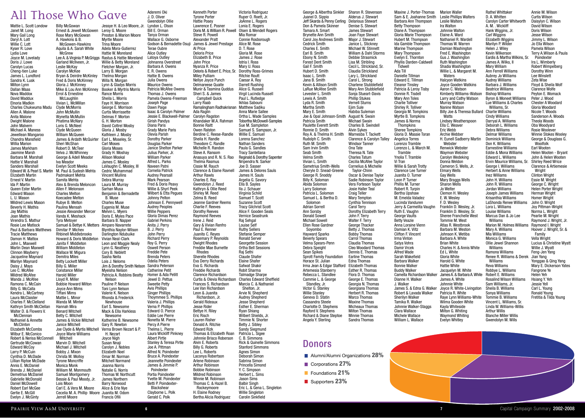#### Mattie L. Scott Londow Janet M. Long Mary Gail Long Daryl A. Lott Willie C. Lott Kyser R. Love Lydia Love Joyce M. Lovelady Doris J. Lowe Carolyn Lucas Cheng-tien Luke James L. Lundford Sandra K. Lusk Milton Lynn Dallan Maas Nova Maddox David Maddux Elnoria Madkin Charles Chukwuma Madu Allen A. Malone Anita Malone Dwight Malone John Malvern Michael A. Maness Jewellean Mangaroo Chandra Mansfield Willia Marion James Markham Jasmine Marsh Barbara M. Marshall Hattie V. Marshall Sanders Marshall Edward W. & Pearl S. Martin Elizabeth Martin Ernest V. Martin Ida P. Martin Queen Ester Martin Edward Mason L. U. Mason Mildred Lewis Mason Beverly H. Mathis Jay Mathis Joan Mathis Virendra S. Mathur Rosie Lee Matlock Paul & Barbara Matthews Tracie Matthews Damon H. Mattox John L. Maxwell Marlin Dean Maxwell Clinnon Mayberry Jacqueline Maynard Marilyn Maynard Daisy J. Mays Leo C. McAfee Mildred McAfee Wanda J. McAfee Ramona C. McCain Billy G. McCalla Kendra L. McCartney Laura McClaister Charles F. McClelland Kathryn Smith McClellan Walter D. & Flowers V. **McClennan** Nathaniel & Annette McClinton Elizabeth McCombs Wilbur E. McConico Robert & Nerisa McConnell Gertrude McCowan Edward McCoy Larry P. McCuin Cynthia D. McDade Lillian Riptoe McDade Annis E. McDaniel Brenda J. McDaniel Demetrius McDaniel Gabrielle McDonald Daniel McDowell Robert Earl McGee Gertie E. McGill Evelyn J. McGinty Billy McGowan Ernest & Jewell McGowen Rose Mary McGowan A. Hawkins & B. McGowen-Hawkins Aquila & A. Sarah White **McGrew** Lee A. & Virginia P. McGriggs Rastus & Hattie Moreland Garland McIlveen, Jr. Leslie McKay Carolyn McKee Bryan & Deirdre McKinley Fred & Doris McKinney Gloria J. McKinney Mike & Lou Ann McKinney Errol & Ernestine McLaughlin Vivian L. McMillan Clyde McMorris John McMullin Wynetta McMullin Phatima McNary Loris G. McNeel Clyde McQueen William McQueen James & Ardath McQuirter Sheri McShan Robert D. McTeer Velva J. McWhinney George & Adell Meador Iva Meador Evelyn Scott Meeks M. Paul & Sudesh Mehta Padmakant Mehta Samita Mehta Alex & Brenda Meloncon Allen F. Melonson Charles Melton Koecadee Melton Rubye B. Melton Paulina Mensah Jessie Alexander Mercer Vanda K. Meshack Tyra Metoyer Samuel & Bettye K. Metters Dimitar P. Michev Rhbinell Middlebrooks Howard & Doris Middleton Janita F. Middleton William Middleton Wallace W. Migura Demitra Miles Betty Lockett Miller Billy G. Miller Constance Miller Harold Miller Lloyd R. Miller Bobbie Howard Milton Joyce Ann Mims Tiffani Mims Mattie L. Minor Wanda M. Minter Hannah Mira Benard Mitchell Betty C. Mitchell James & Vickie Mitchell Janice Mitchell Joe Clyde & Myrtis Mitchell Joyce Marie Williams **Mitchell** Marvin D. Mitchell Michael J. Mitchell Bobby J. Mixon Christa M. Molloy Tyrone Moncriffe Monica Monk William M. Monmouth Samuel Montgomery Bessie & Paul Moody, Jr. Lois Moon Carl E. & Vera M. Moore Cecelia M. A. Phillip Moore Juanita M. Odom Jerrell Moore Jessye H. & Leo Moore, Jr. Leroy G. Moore Preston & Marion Moore Myrtle Moore Trina Moore Adela Mora-Gutierrez Hattie W. Moreland Willie & Betty Moreland Fletcher Morgan, Jr. Larry B. Morgan Thelma Morgan Willa N. Morgan Lynn & Gladys Morris Booker & Myrtris Morris Rance Morris Sheila L. Morris Faye H. Morrison George E. Morrison Curtis Morrissette Delmas F. Morton G. H. Morton David Cottrel Mosby Gloria J. Mosby Kathleen J. Mosby Earl L. Moseley, Sr. Carl Moses Gloria Moses Grady H. Moshay Allison Moskal James C. Mosley LaVaughn C. Mosley, III Cedric Muhammad Vincent Mullins Debra Murray Laura M. Murray Sarhan Musa Benjamin & Bernadette B. Muse Charles Muse Eugenia M. Muse Melvin L. Myers Doris E. Myles Pace Barbara B. Napper Amparo Navarrete Blynthia Naylor-Wilson Darlington Ndubuike Vivian Neal-Clark Leon and Maggie Nealy Lynn G. Neathery Cory B. Neblett Sasha Neita Lois J. Neloms Myeisha Nelson Patricia A. Robbins Beatty Nelson Pauline P. Nelson Toni Lynn Nelson Valerie K. Nelson Rhonda & Frederick Newhouse Earl S. Newsome Mack & Ella Harkless Newsome Katherine B. Newsome Gary R. Newton Verna Brown Nezart & P. H. Nezart Joyce Nigh Susan Nnaji Carolyn J. Nobles Elizabeth Noel Omar M. Norman Mitchell Normand Joanna Norris Natalie G. Norris Thomas W. Northcutt James Northern Barry Norwood Alice & Erle Nye Francis Ofili

Jim & Dorothy Smith Nelson Sandra Peterson Aderemi Oki J. D. Oliver Gwendolyn Ollie Lyndon L. Olson Bill E. Orman Tanya Orman Wallace G. Osborne Godson & Bernadette Osuji Terae Oubre **Alice Outley** Latoya Outley Johnanna Overstreet Barbara A. Owens E. R. Owens Hattie B. Owens Julia Owens Maurice Owens Patricia McAfee Owens Thomas J. Owens Pamela Owens-Freeman Joseph Page Dawn Paige Isaac & Carolyn Palmer Jessie E. Blackwell-Palmer Girish Pandya Diana Paris Grady Marie Paris Olevia Parish Dorothy Parker Douglas Parker Janice Shelton Parker Julius Parker, Jr. William Parker Alfred L. Parks Naveen Patni Cornelia Patrick Audrey Pearsall Mark Pearson Fred & Doris Peavy Willie & Shyrl Peek Wilbert & Etta Pegues Johnny Pelton Johnson E. Pennywell Audrey Peoples Willie Peppers Gloria Dimas Perez Gabriel Perkins Anita J. Perry B. J. Perry John Perry Richard Perry Roy G. Perry Oswell Person Freddie Pete Brenda Peters Odelia Peters Catherine Petit Homer & Ada Petitt Jewel D. Pettus Sweetie Petty Avis Phillips Ginger Phillips Thoymmee S. Phillips Valeria J. Phillips Verna P. Phillips Edward O. Pierce Eddie Lee Pierre Nonetta M. Pierre Percy A Pierre Thelma L. Pierre Laura Wickliff Pinkney Albert Pirtle Stanley & Teresa Pirtle Joe A. Pittman Alfred N. Poindexter Bruce A. Poindexter Jeannette Poindexter James & Jimmie P. Poindexter Portia Poindexter Yvette M. Poindexter Betti P. Poindexter-Blackshear Clayborne L. Polk Gerald C. Polk

Kenneth Porter Tyrone Porter Hattie Posey Lawrence E. Posner Doris M. & William R. Powell Steve R. Powell Alexander Pratt James & Jewel Prestage Deloris Price Elizabeth B. Price John Price Nyanza R. Price Deloris & Robert E. Price, Sr. Miley Pulliam Nellye Joyce Punch Delmareese Quaite Munir & Tasmina Quddus Sheri S. & James Campbell Quick Larry Raab Ramalingham Radhakrisnan Ada Raglin Carolyn Ragston Khandaker M.A. Rahman Bonnie Raitt Owen Ralston Berdine C. Reese-Randle Sheila H. Randle Theodore C. Randle Michelle R. Randon Steve A. Ransom Anasuya and R. N. S. Rao Thelma Rasmus Cissie M. Rauch Clarence & Elaine Ravnell Arthur Rawls Charles E. Ray Gwendolyn J. Reed Kathryn & Ollie Reed Shirley M. Reed Zelma B. Reed Jeanne Gardner Reems Charlie F. Reeves Dorothy Reeves Raymond Reeves Irene J. Reid Gary & Vivian Renfro Paul E. Renner Juanito C. Reyes Rosemary P. Reynolds Dwight Rhodes Freddie Mae Burnette Sherelle Rhodes Eva Derry Richards Eva G. Richards Freddie Richards Clarence Richardson Curtis & Olevia Richardson Frances S. Richardson Lee Van Richardson Leon & Juanita Richardson, Jr. Gerald Rideaux Jesse Rider Bettye H. Riley Eric Risch Lauren Risher Donald A. Ritchie Edward Rizk Thomas & Elizabeth Roan Johnnie Brisco Roberson Alvin E. Roberts Billy G. Roberts Lee L. Roberts Laconya Robertson Arlene Robinson Arthur Robinson Bobbie Robinson Mildred Robinson Winnie M. Robinson Thomas C. & Hazel B. Rockeymoore H. Elaine Rodney Bertha Alicia Rodriguez Victoria Rodriguez Ruper O. Roett, Jr. JoAnne L. Rogers Lonia E. Rogers Olsen & Wendell Rogers Mia Romar Connie Rosborough Alice M. Rose D. T. Rose Gloria M. Rose James J. Rose Istria I. Ross Mary U. Ross Dorothy Ross-Grimes Ritchie Routt Caesar A. Roy Darrell Rushing Alice G. Russell Virgil Lucinda Russell Paul L. Rutledge Ikhlas Sabouni Matthew Sadiku Anna Marie Sallee Ortha L. Wade Samples Tobortha McDowell-Samples Sue M. Sampleton Samuel S. Sampson, Jr. Willie E. Samuel Lorena Sanchez Nathan Sanders Paula G. Sandles Tracy Santellana Reginald & Dorothy Sapenter Nripendra N. Sarker Joe D. Sasser James & Delores Sauls James H. Sauls Argelia G. Savory Ella B. Sayles Ila J. Schauer Virginia Schild Samuel T. Scott Suzanne Scott Tracy Gilchrist Scott Alice F. Gooden Seals Vernice Seastrunk Raj Sehgal Louise Self Ruthy Sellers Stefanie Semper Ronald Server Georgette Session Ortha Bell Sessions Raj Sethi Claude Shafer Elaine Shafer Safwat Shakir Robit Sharma Talmadge Sharpe Charles Edward Sheffield Marcia C. & Nathaniel Shelton, Jr. Arvie N. Shepherd Audrey Shepherd Jesse Shepherd Esther E. Sherman Ryan Shiang Wilbert Shields, Jr. Timmie N. Shorter Betty J. Sibley Sandy Siegmund Patricia L. Sigee C. B. Simmons Rick & Quinelle Simmons Stanford Simmons Agnes Simon Deborah Simon Sabrina Simon Princella Simond Y. C. Simpson Herbert L. Sims Jason Sims Balbir Singh Eric L. & Gena L. Singleton Willie Singleton Carolin Sinkfield  $\text{Al}$  Those Who Gave Aderemi Oki Mison (annie M. Wisson Wictoria Rodriguez Super O. Roett, Jr. 2001) annel D. Sippion Alderus Alderus J. Stewart Stevenson Maxine J. Porter-Thomas Marion Waller Rathel Whittaker Annie M.

Al Price

Rhodes

George & Albertha Sinkler Juanel D. Sippio Jeff Skarda & Penny Cerling Delarious Stewart Don & Pamela Skinner Tamara A. Smart Brynette Ann Smith Carol Joy Andrews Smith Cedrick Smith Charles E. Smith Earl B. Smith Ebony N. Smith Forest Dent Smith Gail F. Smith Hubert D. Smith Isaac L. Smith Jana B. Smith Kevin & Allison Smith LaRue McAfee Smith Levester L. Smith Lewis A. Smith Lyda R. Smith Martha Smith Mary E. Smith Joe & Opal Johnson-Smith Patricia Smith Paulette Everett Smith Ronnie D. Smith Roy A. & Thelma H. Smith Rudolph C. Smith Ruth M. Smith Sam Irvin Smith Seab Smith Velma Smith Vivian L. Smith Sametrius Smith-Wells Cheryle D. Snead-Greene George R. Snoddy Billy K. Soloman Abida Solomon Larry Solomon Patricia L. Solomon Samuel L. & Bertha D. Solomon Adrian Sorrell Ann Sorsby Donald Sowell Michael Sowell Ellen Rose Gardner Soyombo Hayward Sparks Beverly Spears Velma Spears-Penn Debra Speight Sean Spikes Sprott Family Foundation Horace St. Julian Irma Jean & Edgar Stafford Artemesia Stanberry Rebecca L. Standlee Cammie L. & George Standley, Jr. Victor G. Stanley Willie Stanley Geneva D. Statin Cassandra Steele Charlotte D. Stephens Rayford V. Stephens Richard & Diane Steptoe Angela Y. Sterling Sharon R. Stevenson Alderus J. Stewart Denise S. Stewart James Stewart Joan Faye Stewart Major J. Stewart Janice L. Stickney Michael W. Stinnett William & Dahl Storms Debbie Strasmick Lisa M. Stribling Cecil L. Strickland, Sr. Claudia Strickland Lary L. Strickland Carol L. Strong Charlene Stubblefield Mary Ann Stubblefield Sonja Stueart-Davis Phillip Stukes Vernell Sturns Ejim Sule Habiba Suleman August N. Swain Michael Swain Charles B. Swindell Alvin Sykes Marnesba T. Tackett Clarence & Carolyn Talley Windsor Tanner Ona Tate Theresa N. Tate Charles Tatum Cecilia McAfee Taylor Cornelius & Michelle Taylor-Chinn Oscar & Denise Taylor Sadie Robinson Taylor Vera Forteson Taylor Josie Haller Teal Craig Teller Mary Tempton Cynthia Tennison Carol Terry Dorothy Elizabeth Terry John F. Terry Walter F. Terry George Thacker Betty J. Thomas Bobby Thomas Carrol Thomas Claudia Thomas Cleo Woodard Thomas Dennis E. Thomas Earline Thomas Edna Thomas Elizabeth Thomas Esther R. Thomas Flora D. Thomas George E. Thomas Georgia N. Thomas Georgiana Thomas Herbert R. Thomas Marco Thomas Maxine Thomas Micheaux Thomas Milton Thomas Minnie Thomas Sandra Thomas

#### Maxine J. Porter-Thomas Sam & E. Joahanne Smith Barbara Ann Thompson Betty Thompson Diane A. Thompson Gloria Marie Thompson Hubert M. Thompson Ida Gamble Thompson Marine Thompson Mary Thompson Evelyn E. Thornton Phyllis Darden-Caldwell Tidwell Ada Till Danielle Tillman Edward E. Tillman Eleanor Tinsley Patricia & Leroy Tisby Donnie R. Tisdell Mary Ann Toles Charlie Tolliver Shirley R. Tolliver Georgia M. Tompkins Myrtle B. Tompkins James & Norma **Thompkins** Sheree Tompkins Gloria D. Massie Toran Angelica Torres Lorenzo Tramble Lorenzo L. & March M. Tramble Ynolia T. Tramble Vi Tran Willie & Sarah Trotty Clarence Lee Turner Juanita O. Turner Leon P. Turner Phillis M. Turner Robert R. Turnin Bertha Upshaw M. Emelda Valadez Lucinda Vanduren Jerry & Carmelita Vaughn Ruth E. Vaughn George Vaults Betty Veazie Anna Loraine Vienn Damian K. Viltz Clifton F. Vincent Irma Vinton Satya Vohra Damir Vrcek Alfred Wade Sarah Wakefield Barbara Walker Bonnie Walker Buddy Walker Dianne H. Walker J. Walker James S. & Edna G. Walker Robert & Lavada Walker Sherilyn Walker Tamika R. Walker Johnnie Walker-Staggs Clara Wallace Michele Wallace William L. Wallace

Camella Richardson Walker James A. & Barbara A. White Robert E. Williams Marion Waller Leslie Phillips Walters Leslie Walters Ira Walton Johnnie Walton Elaine A. Ward Nathaniel R. Wardell Thomas W. Warren Damian Washington Fred E. Washington Gus J. Washington **Ruth Washington** Shadia Washington Willie L. & Margaret M. **Waters** Halcyon Watkins Joyce Gooden Watkins Aaron C. Watson Kimberly Williams-Watson Larry and Cathy Watson Murray Watson Nanine Watson Billy Joe & Theresa Bullard Watts Lindsey Weatherspoon Ella C. Weaver Eric Webb Archie Webbe H. Eunell Sadberry Martin **Webster** Renwick Webster Waymon Webster Carolyn Wedeking Donna Weldon Cameron S. Wells, Jr. Elmary Wells Gay Wells Mary Braggs Wells Sharon Wells Jo Welter Clemon H. Wesley E. W. Wesley F. D. Wesley Franklin D. Wesley, Jr. Franklin D. Wesley, Sr. Sheree Franchelle West Tommie M. West Atlas R. Westbrook Barbara M. Weston Johnson K. Wetiba Barbara A. White Brian White Charles H. & Annis White Ed L. White Gloria White Harold G. White Hattie White Jacquelyn M. White James A. White Johnnie White Joyce R. White-Livingston Patricia R. White Raye Lynn Williams-White Wilma Gooden White Kayla Whiteside Milton G. Whiting Waymond Whiting Evelyn Whitley Rathel Whittaker D. A. Whitten Carolyn Carter Whitworth A. M. Wickliff Hank Wiggins, Jr. Carl Wiggins **Elizabeth Winnins** Marilyn P. Wilder Helen J. Wiley Kevin Wilkerson Eardis & Martha Wilkins, Sr. James A. Wilks, II Mary William Ann Ferrell Williams Aubrey Jo Williams Audrey Williams Barbara J. Williams Beatrice Williams Bishop Williams Byron & Moneet Williams Lue Williams & Charles Williams, Sr. Charlie Williams Cindy Williams Darryal A. Williams Deborah L. Williams Debra Williams Delmar Williams Dominick Williams Don K. Williams Earnestine Williams Eddie & Mona Williams Edward L. Williams Ervin Maurice Williams, Sr. George I. Williams Herbert & Anne Williams Inez Williams John H. Williams John R. Williams Jordan Williams Joseph James Williams Krisanthia Williams LaShonda Renee Williams Lora L. Williams Louise Williams Marcus Dan & Jo Lee Williams Marion M. Holmes Williams Mary A. Williams Mia Williams Monica G. Williams Ollie Jewel Shannon Williams Ramona Williams Williams Reva Williams Robbye L. Williams Rosalind Wilson Williams Sam Williams, Jr. Sheila B. Williams Sonya Williams Tommie B. Williams Vincent L. Williams, Sr. Linda W. Williams-Willis Arthur Willis Blanche Miller Willis Gwendolyn M. Wills

Renee R. Williams & Derek Curtis Wilson Daisylyn C. Wilson David Wilson Doris Wilson Jesse Wilson Jimmy L. Wilson Jo Ella Wilson Pamela Wilson Terry A.Wilson & Paula Poindexter Ira L. Wimberly Robert Wimpelberg Dorothy Winn Lee Winslett Zeta Wise Floyd & Sheila Wolf Clarence Wolfe Peyton E. Womack Peter J. Wood Chester A Woodard Gloria Woodard Nicole T. Woods Sanderson A. Woods Theola Woods Oba Woodyard Rosie Woolever Winnie Stokes Wooley George & Douglass G. Woolfolk Earl Wooten Helen Wooten - Bryant John & Helen Wooten Shirley Reed Wrice Clarence & Artiemesie **Wright** Clinton Wright Essie M. Wright George C. Wright Helen Porter Wright Herman Wright Homer Wright John O. Wright Joy Pittman-Wright Norma L. Wright Pearlie M. Wright Raymond J. Wright, Jr. Raymond I. Wright Hoover J. Wright, Sr. & Family Vella Wright Lucius & Christine Wyatt Willie J. Wyatt Feng-Jen Yang Jian Yang Yonggao & Qing Yang Mary E. Dickerson Yates Fangrone Ye Helen Yeh Hsiang Y. Yeh Jessie Yell Carl L. Young Ronald Young Fretitia & Tilda Young

## Donors

**6 7**

- Alumni/Alumni Organizations 28%
- Corporations 27%
- **Foundations 21%**
- Supporters 23%

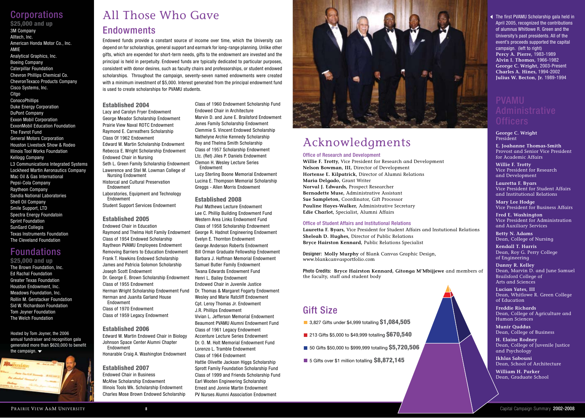# **Corporations**

\$25,000 and up 3M Company Alltech, Inc. American Honda Motor Co., Inc. AMIE Analytical Graphics, Inc. Boeing Company Caterpillar Foundation Chevron Phillips Chemical Co. ChevronTexaco Products Company Cisco Systems, Inc. Citgo **ConocoPhillips** Duke Energy Corporation DuPont Company Exxon Mobil Corporation ExxonMobil Education Foundation The Favrot Fund General Motors Corporation Houston Livestock Show & Rodeo Illinois Tool Works Foundation Kellogg Company L3 Communications Integrated Systems Lockheed Martin Aeronautics Company Mac Oil & Gas International Pepsi-Cola Company Raytheon Company Sandia National Laboratories Shell Oil Company Smile Support, LTD Spectra Energy Foundatoin Sprint Foundation SunGard Collegis Texas Instruments Foundation The Cleveland Foundation

# Foundations

### \$25,000 and up

The Brown Foundation, Inc. Ed Rachal Foundation Greater Texas Foundation Houston Endowment, Inc. Meadows Foundation, Inc. Rollin M. Gerstacker Foundation Sid W. Richardson Foundation Tom Joyner Foundation The Welch Foundation

Hosted by Tom Joyner, the 2006 annual fundraiser and recognition gala generated more than \$620,000 to benefit the campaign.  $\blacktriangledown$ 



# **Endowments** All Those Who Gave

Endowed funds provide a constant source of income over time, which the University can depend on for scholarships, general support and earmark for long-range planning. Unlike other gifts, which are expended for short-term needs, gifts to the endowment are invested and the principal is held in perpetuity. Endowed funds are typically dedicated to particular purposes, consistent with donor desires, such as faculty chairs and professorships, or student endowed scholarships. Throughout the campaign, seventy-seven named endowments were created with a minimum investment of \$5,000. Interest generated from the principal endowment fund is used to create scholarships for PVAMU students.

### Established 2004

Lacy and Carolyn Fryer Endowment George Meador Scholarship Endowment Prairie View Naval ROTC Endowment Raymond E. Carreathers Scholarship Class Of 1962 Endowment Edward W. Martin Scholarship Endowment Rebecca E. Wright Scholarship Endowment Endowed Chair in Nursing Seth L. Green Family Scholarship Endowment Lawerence and Stel M. Lowman College of Nursing Endowment Historcal and Cultural Preservation Endowment Laboratories, Equipment and Technology Endowment Student Support Services Endowment

## Established 2005

Endowed Chair in Education Raymond and Thelma Holt Family Endowment Class of 1954 Endowed Scholarship Raytheon PVAMU Employees Endowment Removing Barriers to Education Endowment Frank T. Hawkins Endowed Scholarship James and Patricia Solomon Scholarship Joseph Scott Endowment Dr. George E. Brown Scholarship Endowment Class of 1955 Endowment Herman Wright Scholarship Endowment Fund Herman and Juanita Garland House Endowment Class of 1970 Endowment Class of 1959 Legacy Endowment

Established 2006 Edward W. Martin Endowed Chair in Biology Johnson Space Center Alumni Chapter Endowment Honarable Craig A. Washington Endowment

Established 2007 Endowed Chair in Business McAfee Scholarship Endowment Illinois Tools Wk. Scholarship Endowment Charles Mose Brown Endowed Scholarship

Class of 1960 Endowment Scholarship Fund Endowed Chair in Architecture Marvin D. and June E. Brailsford Endowment Jones Family Scholarship Endowment Clemmie S. Vincent Endowed Scholarship Nathelyne Archie Kennedy Scholarship Roy and Thelma Smith Scholarship Class of 1957 Scholarship Endowment Ltc. (Ret) Jiles P. Daniels Endowment Clemon H. Wesley Lecture Series Endowment

Lucy Sterling Boone Memorial Endowment Lucina E. Thompson Memorial Scholarship Greggs - Allen Morris Endowment

### Established 2008

Paul Mathews Lecture Endowment Lee C. Phillip Building Endowment Fund Western Area Links Endwoment Fund Class of 1958 Scholarship Endowment George R. Hadnot Engineering Endowment Evelyn E. Thornton Endowment George Anderson Roberts Endowment Bill Orman Graduate Fellowship Endowment Barbara J. Hoffman Memorial Endowment Samuel Butler Family Endowment Twana Edwards Endowment Fund Henri L. Bailey Endowment Endowed Chair in Juvenile Justice Dr. Thomas & Margaret Fogarty Endowment Wesley and Marie Ratcliff Endowment Cpt. Leroy Thomas Jr. Endowment J.R. Phillips Endowment Vivian L. Jefferson Memorial Endowment Beaumont PVAMU Alumni Endowment Fund Class of 1961 Legacy Endowment Accenture Lecture Series Endowment Dr. O. M. Holt Memorial Endowment Fund Lorenzo L. Tramble Endowment Class of 1964 Endowment Hattie Olivette Jackson Higgs Scholarship Sprott Family Foundation Scholarship Fund Class of 1999 and Friends Scholarship Fund Earl Wooten Engineering Scholarship Ernest and Jonnie Martin Endowment PV Nurses Alumni Association Endowment



# Acknowledgments

#### Office of Research and Development

**Willie F. Trotty,** Vice President for Research and Development **Nelson Bowman, III,** Director of Development **Hortense E. Kilpatrick,** Director of Alumni Relations **Maria Delgado,** Grant Writer **Norval J. Edwards,** Prospect Researcher **Bernadette Muse,** Administrative Assistant **Sue Sampleton,** Coordinator, Gift Processor **Pauline Hayes-Walker,** Administrative Secretary **Edie Charlot,** Specialist, Alumni Affairs

#### Office of Student Affairs and Institutional Relations

**Lauretta F. Byars,** Vice President for Student Affairs and Instutional Relations **Sheleah D. Hughes,** Director of Public Relations **Bryce Hairston Kennard,** Public Relations Specialist

Designer: **Molly Murphy** of Blank Canvas Graphic Design, www.blankcanvasportfolio.com

Photo Credits: **Bryce Hairston Kennard, Gitonga M'Mbijjewe** and members of the faculty, staff and student body

# Gift Size

■ 3,827 Gifts under \$4,999 totalling \$1,084,505

- 213 Gifts \$5,000 to \$49,999 totalling \$670,540
- 50 Gifts \$50,000 to \$999,999 totalling \$5,720,506
- $\blacksquare$  5 Gifts over \$1 million totalling  $$8,872,145$

### The first PVAMU Scholarship gala held in April 2005, recognized the contributions of alumnus Whitlowe R. Green and the University's past presidents. All of the event's proceeds supported the capital campaign. (left to right) **Percy A. Pierre,** 1983-1989 **Alvin I. Thomas,** 1966-1982 **George C. Wright,** 2003-Present **Charles A. Hines,** 1994-2002 **Julius W. Becton, Jr.** 1989-1994

**George C. Wright** President

**E. Joahanne Thomas-Smith** Provost and Senior Vice President for Academic Affairs

**Willie F. Trotty** Vice President for Research and Development

**Lauretta F. Byars**  Vice President for Student Affairs and Institutional Relations

**Mary Lee Hodge**  Vice President for Business Affairs

**Fred E. Washington**  Vice President for Administration and Auxiliary Services

**Betty N. Adams**  Dean, College of Nursing

**Kendall T. Harris** Dean, Roy G. Perry College of Engineering

**Danny R. Kelley**  Dean, Marvin D. and June Samuel Brailsford College of Arts and Sciences

**Lucian Yates, III**  Dean, Whitlowe R. Green College of Education

**Freddie Richards**  Dean, College of Agriculture and Human Sciences

**Munir Quddus**  Dean, College of Business

**H. Elaine Rodney**  Dean, College of Juvenile Justice and Psychology

**Ikhlas Sabouni** Dean, School of Architecture

**William H. Parker**  Dean, Graduate School